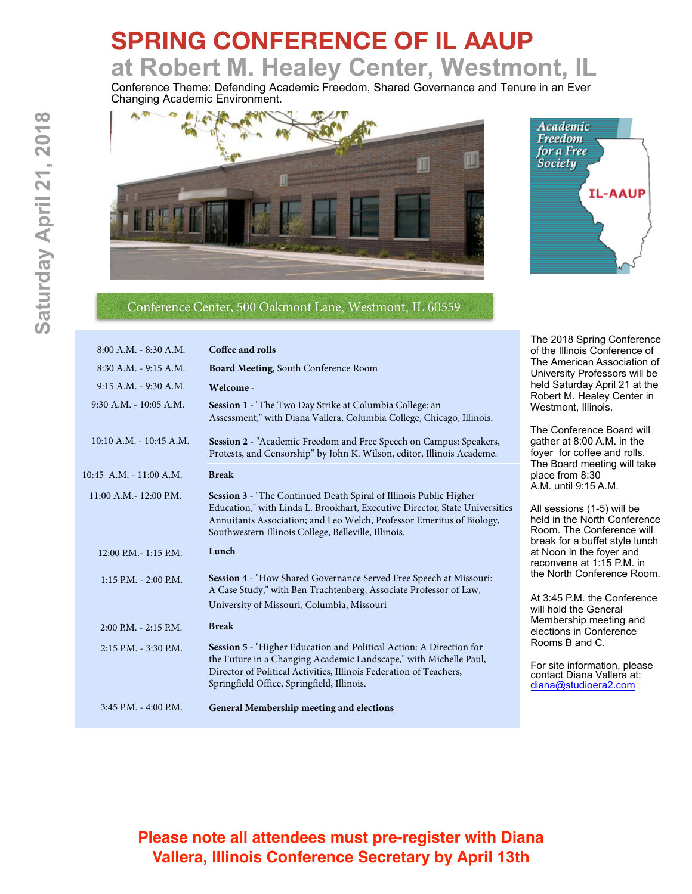# **SPRING CONFERENCE OF IL AAUP at Robert M. Healey Center, Westmont, IL**

Conference Theme: Defending Academic Freedom, Shared Governance and Tenure in an Ever Changing Academic Environment.





### Conference Center, 500 Oakmont Lane, Westmont, IL 60559

| 8:00 A.M. - 8:30 A.M.       | Coffee and rolls                                                                                                                                                                                                                                                                  | of the                                  |
|-----------------------------|-----------------------------------------------------------------------------------------------------------------------------------------------------------------------------------------------------------------------------------------------------------------------------------|-----------------------------------------|
| 8:30 A.M. - 9:15 A.M.       | Board Meeting, South Conference Room                                                                                                                                                                                                                                              | The A<br>Unive                          |
| 9:15 A.M. - 9:30 A.M.       | Welcome -                                                                                                                                                                                                                                                                         | held S                                  |
| $9:30$ A.M. - 10:05 A.M.    | Session 1 - "The Two Day Strike at Columbia College: an<br>Assessment," with Diana Vallera, Columbia College, Chicago, Illinois.                                                                                                                                                  | Rober<br>Westr                          |
| $10:10$ A.M. $- 10:45$ A.M. | Session 2 - "Academic Freedom and Free Speech on Campus: Speakers,<br>Protests, and Censorship" by John K. Wilson, editor, Illinois Academe.                                                                                                                                      | The C<br>gathe<br>foyer<br>The B        |
| $10:45$ A.M. $-11:00$ A.M.  | <b>Break</b>                                                                                                                                                                                                                                                                      | place                                   |
| 11:00 A.M. - 12:00 P.M.     | Session 3 - "The Continued Death Spiral of Illinois Public Higher<br>Education," with Linda L. Brookhart, Executive Director, State Universities<br>Annuitants Association; and Leo Welch, Professor Emeritus of Biology,<br>Southwestern Illinois College, Belleville, Illinois. | A.M. เ<br>All se<br>held i<br>Room      |
| 12:00 P.M. - 1:15 P.M.      | Lunch                                                                                                                                                                                                                                                                             | break<br>at No<br>recon                 |
| 1:15 P.M. - 2:00 P.M.       | Session 4 - "How Shared Governance Served Free Speech at Missouri:<br>A Case Study," with Ben Trachtenberg, Associate Professor of Law,<br>University of Missouri, Columbia, Missouri                                                                                             | the N<br>At $3:4$<br>will ho            |
| $2:00$ P.M. $-2:15$ P.M.    | <b>Break</b>                                                                                                                                                                                                                                                                      | Memt<br>electio                         |
| 2:15 P.M. - 3:30 P.M.       | Session 5 - "Higher Education and Political Action: A Direction for<br>the Future in a Changing Academic Landscape," with Michelle Paul,<br>Director of Political Activities, Illinois Federation of Teachers,<br>Springfield Office, Springfield, Illinois.                      | Room<br>For si<br>conta<br><u>diana</u> |
| 3:45 P.M. - 4:00 P.M.       | General Membership meeting and elections                                                                                                                                                                                                                                          |                                         |
|                             |                                                                                                                                                                                                                                                                                   |                                         |

The 2018 Spring Conference Illinois Conference of American Association of ersity Professors will be Saturday April 21 at the rt M. Healey Center in mont, Illinois.

Conference Board will  $er$  at 8:00 A.M. in the for coffee and rolls. Board meeting will take from  $8:30$ until 9:15 A.M.

ssions (1-5) will be n the North Conference n. The Conference will for a buffet style lunch on in the foyer and ivene at 1:15 P.M. in orth Conference Room.

5 P.M. the Conference old the General bership meeting and ons in Conference າs B and C.

ite information, please ct Diana Vallera at: @studioera2.com

**8**

## **Please note all attendees must pre-register with Diana Vallera, Illinois Conference Secretary by April 13th**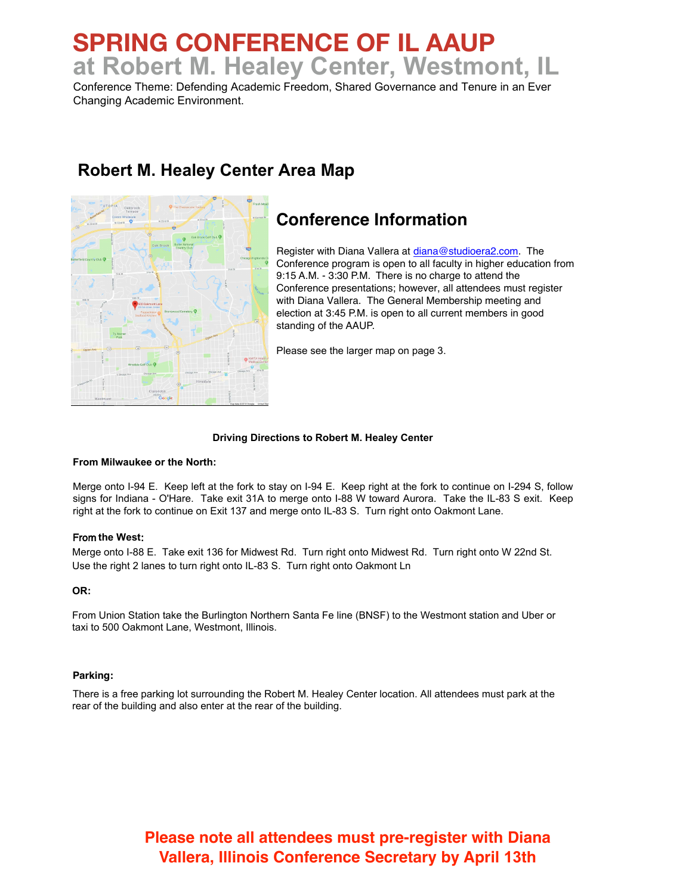# **SPRING CONFERENCE OF IL AAUP at Robert M. Healey Center, Westmont, IL**

Conference Theme: Defending Academic Freedom, Shared Governance and Tenure in an Ever Changing Academic Environment.

**Robert M. Healey Center Area Map**

# **Conference Information**

Register with Diana Vallera at [diana@studioera2.com.](mailto:diana@studioera2.com) The Conference program is open to all faculty in higher education from 9:15 A.M. - 3:30 P.M. There is no charge to attend the Conference presentations; however, all attendees must register with Diana Vallera. The General Membership meeting and election at 3:45 P.M. is open to all current members in good standing of the AAUP.

Please see the larger map on page 3.

#### **Driving Directions to Robert M. Healey Center**

#### **From Milwaukee or the North:**

Merge onto I-94 E. Keep left at the fork to stay on I-94 E. Keep right at the fork to continue on I-294 S, follow signs for Indiana - O'Hare. Take exit 31A to merge onto I-88 W toward Aurora. Take the IL-83 S exit. Keep right at the fork to continue on Exit 137 and merge onto IL-83 S. Turn right onto Oakmont Lane.

#### From **the West**:

Merge onto I-88 E. Take exit 136 for Midwest Rd. Turn right onto Midwest Rd. Turn right onto W 22nd St. Use the right 2 lanes to turn right onto IL-83 S. Turn right onto Oakmont Ln

#### **OR:**

From Union Station take the Burlington Northern Santa Fe line (BNSF) to the Westmont station and Uber or taxi to 500 Oakmont Lane, Westmont, Illinois.

#### **Parking:**

There is a free parking lot surrounding the Robert M. Healey Center location. All attendees must park at the rear of the building and also enter at the rear of the building.

### **Please note all attendees must pre-register with Diana Vallera, Illinois Conference Secretary by April 13th**